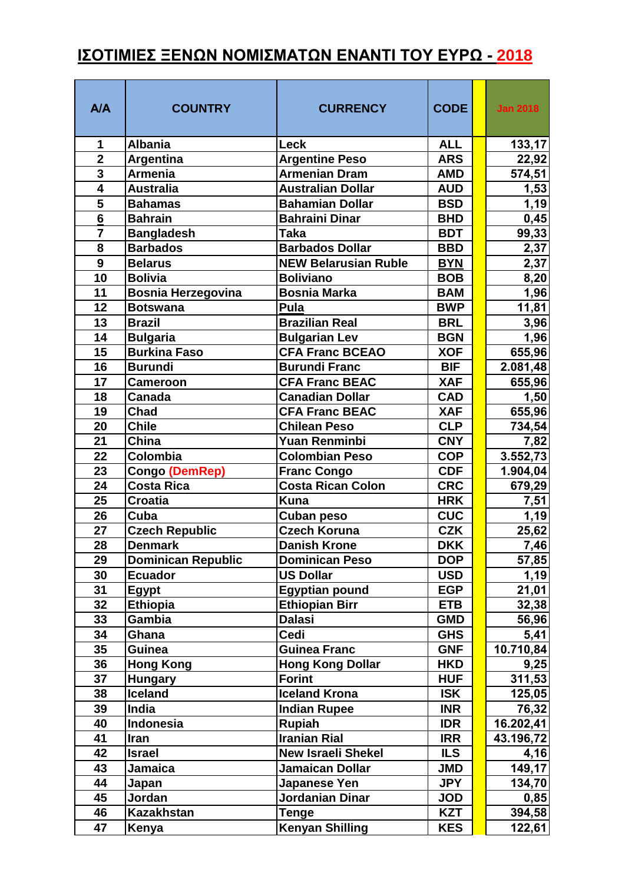## **ΙΣΟΤΙΜΙΕΣ ΞΕΝΩΝ ΝΟΜΙΣΜΑΤΩΝ ΕΝΑΝΤΙ ΤΟΥ ΕΥΡΩ - 2018**

| A/A                                                | <b>COUNTRY</b>                         | <b>CURRENCY</b>                                       | <b>CODE</b>              | <b>Jan 2018</b>      |
|----------------------------------------------------|----------------------------------------|-------------------------------------------------------|--------------------------|----------------------|
| 1                                                  | <b>Albania</b>                         | <b>Leck</b>                                           | <b>ALL</b>               | 133,17               |
| $\overline{2}$                                     | Argentina                              | <b>Argentine Peso</b>                                 | <b>ARS</b>               | 22,92                |
| $\overline{\mathbf{3}}$                            | <b>Armenia</b>                         | <b>Armenian Dram</b>                                  | <b>AMD</b>               | 574,51               |
| 4                                                  | <b>Australia</b>                       | <b>Australian Dollar</b>                              | <b>AUD</b>               | 1,53                 |
| 5                                                  | <b>Bahamas</b>                         | <b>Bahamian Dollar</b>                                | <b>BSD</b>               | 1,19                 |
| $\overline{\mathbf{6}}$                            | <b>Bahrain</b>                         | <b>Bahraini Dinar</b>                                 | <b>BHD</b>               | 0,45                 |
| $\overline{\mathbf{7}}$<br>$\overline{\mathbf{8}}$ | <b>Bangladesh</b><br><b>Barbados</b>   | <b>Taka</b>                                           | <b>BDT</b>               | 99,33                |
| 9                                                  | <b>Belarus</b>                         | <b>Barbados Dollar</b><br><b>NEW Belarusian Ruble</b> | <b>BBD</b><br><b>BYN</b> | 2,37                 |
| 10                                                 | <b>Bolivia</b>                         | <b>Boliviano</b>                                      | <b>BOB</b>               | 2,37                 |
| 11                                                 | <b>Bosnia Herzegovina</b>              | <b>Bosnia Marka</b>                                   | <b>BAM</b>               | 8,20<br>1,96         |
| 12                                                 | <b>Botswana</b>                        | Pula                                                  | <b>BWP</b>               |                      |
| 13                                                 | <b>Brazil</b>                          | <b>Brazilian Real</b>                                 | <b>BRL</b>               | 11,81<br>3,96        |
| 14                                                 |                                        | <b>Bulgarian Lev</b>                                  | <b>BGN</b>               |                      |
| 15                                                 | <b>Bulgaria</b><br><b>Burkina Faso</b> | <b>CFA Franc BCEAO</b>                                | <b>XOF</b>               | 1,96<br>655,96       |
| 16                                                 | <b>Burundi</b>                         | <b>Burundi Franc</b>                                  | <b>BIF</b>               |                      |
| 17                                                 | Cameroon                               | <b>CFA Franc BEAC</b>                                 | <b>XAF</b>               | 2.081,48<br>655,96   |
| 18                                                 | <b>Canada</b>                          | <b>Canadian Dollar</b>                                | <b>CAD</b>               |                      |
| 19                                                 | <b>Chad</b>                            | <b>CFA Franc BEAC</b>                                 | <b>XAF</b>               | 1,50<br>655,96       |
| 20                                                 | <b>Chile</b>                           | <b>Chilean Peso</b>                                   | <b>CLP</b>               |                      |
| 21                                                 | China                                  | <b>Yuan Renminbi</b>                                  | <b>CNY</b>               | 734,54               |
| 22                                                 | Colombia                               | <b>Colombian Peso</b>                                 | <b>COP</b>               | 7,82                 |
| 23                                                 | Congo (DemRep)                         | <b>Franc Congo</b>                                    | <b>CDF</b>               | 3.552,73<br>1.904,04 |
| 24                                                 | <b>Costa Rica</b>                      | Costa Rican Colon                                     | <b>CRC</b>               | 679,29               |
| 25                                                 | <b>Croatia</b>                         | <b>Kuna</b>                                           | <b>HRK</b>               | 7,51                 |
| 26                                                 | Cuba                                   | <b>Cuban peso</b>                                     | <b>CUC</b>               | 1,19                 |
| 27                                                 | <b>Czech Republic</b>                  | <b>Czech Koruna</b>                                   | <b>CZK</b>               | 25,62                |
| 28                                                 | <b>Denmark</b>                         | <b>Danish Krone</b>                                   | <b>DKK</b>               | 7,46                 |
| 29                                                 | <b>Dominican Republic</b>              | <b>Dominican Peso</b>                                 | <b>DOP</b>               | 57,85                |
| 30                                                 | <b>Ecuador</b>                         | <b>US Dollar</b>                                      | <b>USD</b>               | 1,19                 |
| 31                                                 | <b>Egypt</b>                           | <b>Egyptian pound</b>                                 | <b>EGP</b>               | 21,01                |
| 32                                                 | <b>Ethiopia</b>                        | <b>Ethiopian Birr</b>                                 | <b>ETB</b>               | 32,38                |
| 33                                                 | <b>Gambia</b>                          | <b>Dalasi</b>                                         | <b>GMD</b>               | 56,96                |
| 34                                                 | Ghana                                  | Cedi                                                  | <b>GHS</b>               | 5,41                 |
| 35                                                 | Guinea                                 | <b>Guinea Franc</b>                                   | <b>GNF</b>               | 10.710,84            |
| 36                                                 | <b>Hong Kong</b>                       | <b>Hong Kong Dollar</b>                               | <b>HKD</b>               | 9,25                 |
| 37                                                 | <b>Hungary</b>                         | <b>Forint</b>                                         | <b>HUF</b>               | 311,53               |
| 38                                                 | <b>Iceland</b>                         | <b>Iceland Krona</b>                                  | <b>ISK</b>               | 125,05               |
| 39                                                 | <b>India</b>                           | <b>Indian Rupee</b>                                   | <b>INR</b>               | 76,32                |
| 40                                                 | Indonesia                              | <b>Rupiah</b>                                         | <b>IDR</b>               | 16.202,41            |
| 41                                                 | Iran                                   | <b>Iranian Rial</b>                                   | <b>IRR</b>               | 43.196,72            |
| 42                                                 | <b>Israel</b>                          | <b>New Israeli Shekel</b>                             | <b>ILS</b>               | 4,16                 |
| 43                                                 | Jamaica                                | <b>Jamaican Dollar</b>                                | <b>JMD</b>               | 149,17               |
| 44                                                 | Japan                                  | Japanese Yen                                          | <b>JPY</b>               | 134,70               |
| 45                                                 | Jordan                                 | Jordanian Dinar                                       | <b>JOD</b>               | 0,85                 |
| 46                                                 | <b>Kazakhstan</b>                      | <b>Tenge</b>                                          | <b>KZT</b>               | 394,58               |
| 47                                                 | Kenya                                  | <b>Kenyan Shilling</b>                                | <b>KES</b>               | 122,61               |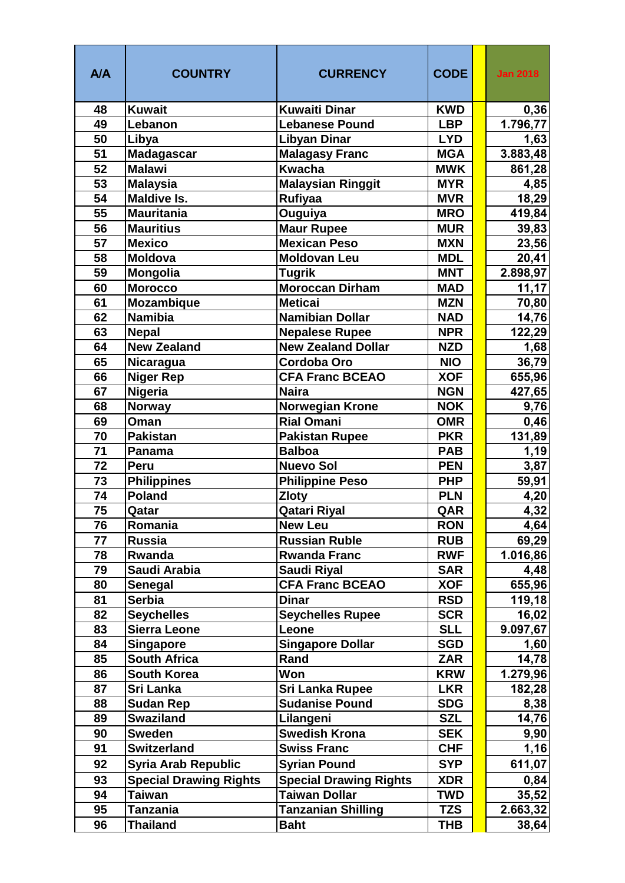| <b>A/A</b> | <b>COUNTRY</b>                | <b>CURRENCY</b>               | <b>CODE</b> | <b>Jan 2018</b> |
|------------|-------------------------------|-------------------------------|-------------|-----------------|
| 48         | <b>Kuwait</b>                 | <b>Kuwaiti Dinar</b>          | <b>KWD</b>  | 0,36            |
| 49         | Lebanon                       | <b>Lebanese Pound</b>         | <b>LBP</b>  | 1.796,77        |
| 50         | Libya                         | <b>Libyan Dinar</b>           | <b>LYD</b>  | 1,63            |
| 51         | <b>Madagascar</b>             | <b>Malagasy Franc</b>         | <b>MGA</b>  | 3.883,48        |
| 52         | <b>Malawi</b>                 | <b>Kwacha</b>                 | <b>MWK</b>  | 861,28          |
| 53         | <b>Malaysia</b>               | <b>Malaysian Ringgit</b>      | <b>MYR</b>  | 4,85            |
| 54         | <b>Maldive Is.</b>            | Rufiyaa                       | <b>MVR</b>  | 18,29           |
| 55         | <b>Mauritania</b>             | Ouguiya                       | <b>MRO</b>  | 419,84          |
| 56         | <b>Mauritius</b>              | Maur Rupee                    | <b>MUR</b>  | 39,83           |
| 57         | <b>Mexico</b>                 | <b>Mexican Peso</b>           | <b>MXN</b>  | 23,56           |
| 58         | <b>Moldova</b>                | <b>Moldovan Leu</b>           | <b>MDL</b>  | 20,41           |
| 59         | Mongolia                      | <b>Tugrik</b>                 | <b>MNT</b>  | 2.898,97        |
| 60         | <b>Morocco</b>                | <b>Moroccan Dirham</b>        | <b>MAD</b>  | 11,17           |
| 61         | <b>Mozambique</b>             | <b>Meticai</b>                | <b>MZN</b>  | 70,80           |
| 62         | <b>Namibia</b>                | <b>Namibian Dollar</b>        | <b>NAD</b>  | 14,76           |
| 63         | <b>Nepal</b>                  | <b>Nepalese Rupee</b>         | <b>NPR</b>  | 122,29          |
| 64         | <b>New Zealand</b>            | <b>New Zealand Dollar</b>     | <b>NZD</b>  | 1,68            |
| 65         | <b>Nicaragua</b>              | <b>Cordoba Oro</b>            | <b>NIO</b>  | 36,79           |
| 66         | <b>Niger Rep</b>              | <b>CFA Franc BCEAO</b>        | <b>XOF</b>  | 655,96          |
| 67         | <b>Nigeria</b>                | <b>Naira</b>                  | <b>NGN</b>  | 427,65          |
| 68         | <b>Norway</b>                 | <b>Norwegian Krone</b>        | <b>NOK</b>  | 9,76            |
| 69         | Oman                          | <b>Rial Omani</b>             | <b>OMR</b>  | 0,46            |
| 70         | <b>Pakistan</b>               | <b>Pakistan Rupee</b>         | <b>PKR</b>  | 131,89          |
| 71         | Panama                        | <b>Balboa</b>                 | <b>PAB</b>  | 1,19            |
| 72         | <b>Peru</b>                   | <b>Nuevo Sol</b>              | <b>PEN</b>  | 3,87            |
| 73         | <b>Philippines</b>            | <b>Philippine Peso</b>        | <b>PHP</b>  | 59,91           |
| 74         | Poland                        | <b>Zloty</b>                  | <b>PLN</b>  | 4,20            |
| 75         | Qatar                         | <b>Qatari Riyal</b>           | QAR         | 4,32            |
| 76         | Romania                       | <b>New Leu</b>                | <b>RON</b>  | 4,64            |
| 77         | <b>Russia</b>                 | <b>Russian Ruble</b>          | <b>RUB</b>  | 69,29           |
| 78         | Rwanda                        | <b>Rwanda Franc</b>           | <b>RWF</b>  | 1.016,86        |
| 79         | Saudi Arabia                  | <b>Saudi Riyal</b>            | <b>SAR</b>  | 4,48            |
| 80         | <b>Senegal</b>                | <b>CFA Franc BCEAO</b>        | <b>XOF</b>  | 655,96          |
| 81         | <b>Serbia</b>                 | <b>Dinar</b>                  | <b>RSD</b>  | 119,18          |
| 82         | <b>Seychelles</b>             | <b>Seychelles Rupee</b>       | <b>SCR</b>  | 16,02           |
| 83         | <b>Sierra Leone</b>           | Leone                         | <b>SLL</b>  | 9.097,67        |
| 84         | <b>Singapore</b>              | <b>Singapore Dollar</b>       | <b>SGD</b>  | 1,60            |
| 85         | <b>South Africa</b>           | Rand                          | <b>ZAR</b>  | 14,78           |
| 86         | <b>South Korea</b>            | Won                           | <b>KRW</b>  | 1.279,96        |
| 87         | Sri Lanka                     | <b>Sri Lanka Rupee</b>        | <b>LKR</b>  | 182,28          |
| 88         | <b>Sudan Rep</b>              | <b>Sudanise Pound</b>         | <b>SDG</b>  | 8,38            |
| 89         | <b>Swaziland</b>              | Lilangeni                     | <b>SZL</b>  | 14,76           |
| 90         | <b>Sweden</b>                 | <b>Swedish Krona</b>          | <b>SEK</b>  | 9,90            |
| 91         | <b>Switzerland</b>            | <b>Swiss Franc</b>            | <b>CHF</b>  | 1,16            |
| 92         | <b>Syria Arab Republic</b>    | <b>Syrian Pound</b>           | <b>SYP</b>  | 611,07          |
| 93         | <b>Special Drawing Rights</b> | <b>Special Drawing Rights</b> | <b>XDR</b>  | 0,84            |
| 94         | <b>Taiwan</b>                 | <b>Taiwan Dollar</b>          | TWD         | 35,52           |
| 95         | <b>Tanzania</b>               | <b>Tanzanian Shilling</b>     | <b>TZS</b>  | 2.663,32        |
| 96         | <b>Thailand</b>               | <b>Baht</b>                   | <b>THB</b>  | 38,64           |